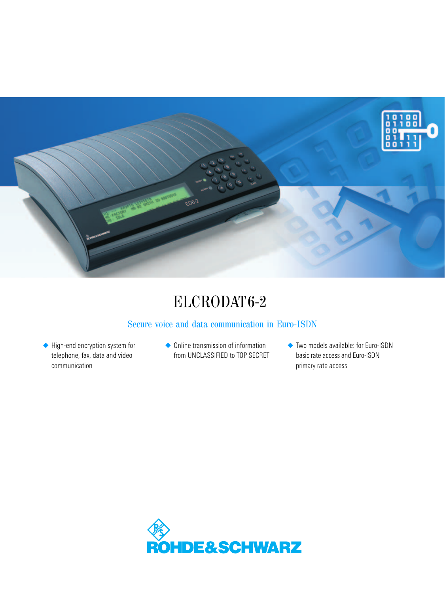

# ELCRODAT6-2

# Secure voice and data communication in Euro-ISDN

◆ High-end encryption system for telephone, fax, data and video communication

- ◆ Online transmission of information from UNCLASSIFIED to TOP SECRET
- ◆ Two models available: for Euro-ISDN basic rate access and Euro-ISDN primary rate access

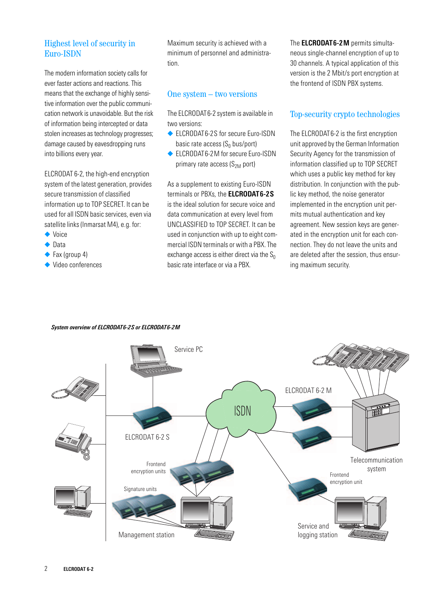## Highest level of security in Euro-ISDN

The modern information society calls for ever faster actions and reactions. This means that the exchange of highly sensitive information over the public communication network is unavoidable. But the risk of information being intercepted or data stolen increases as technology progresses; damage caused by eavesdropping runs into billions every year.

ELCRODAT 6-2, the high-end encryption system of the latest generation, provides secure transmission of classified information up to TOP SECRET. It can be used for all ISDN basic services, even via satellite links (Inmarsat M4), e.g. for:

- ◆ Voice
- ◆ Data
- ◆ Fax (group 4)
- ◆ Video conferences

Maximum security is achieved with a minimum of personnel and administration.

## One system – two versions

The ELCRODAT6-2 system is available in two versions:

- ◆ ELCRODAT6-2S for secure Euro-ISDN basic rate access  $(S_0 \text{ bus/port})$
- ◆ ELCRODAT6-2M for secure Euro-ISDN primary rate access  $(S_{2M}$  port)

As a supplement to existing Euro-ISDN terminals or PBXs, the **ELCRODAT6-2S** is the ideal solution for secure voice and data communication at every level from UNCLASSIFIED to TOP SECRET. It can be used in conjunction with up to eight commercial ISDN terminals or with a PBX. The exchange access is either direct via the  $S_0$ basic rate interface or via a PBX.

The **ELCRODAT6-2M** permits simultaneous single-channel encryption of up to 30 channels. A typical application of this version is the 2 Mbit/s port encryption at the frontend of ISDN PBX systems.

## Top-security crypto technologies

The ELCRODAT6-2 is the first encryption unit approved by the German Information Security Agency for the transmission of information classified up to TOP SECRET which uses a public key method for key distribution. In conjunction with the public key method, the noise generator implemented in the encryption unit permits mutual authentication and key agreement. New session keys are generated in the encryption unit for each connection. They do not leave the units and are deleted after the session, thus ensuring maximum security.



#### *System overview of ELCRODAT6-2S or ELCRODAT6-2M*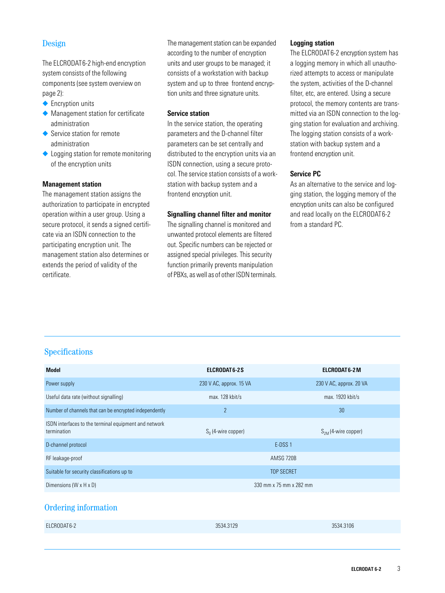## Design

The ELCRODAT6-2 high-end encryption system consists of the following components (see system overview on page 2):

- ◆ Encryption units
- ◆ Management station for certificate administration
- ◆ Service station for remote administration
- ◆ Logging station for remote monitoring of the encryption units

#### **Management station**

The management station assigns the authorization to participate in encrypted operation within a user group. Using a secure protocol, it sends a signed certificate via an ISDN connection to the participating encryption unit. The management station also determines or extends the period of validity of the certificate.

The management station can be expanded according to the number of encryption units and user groups to be managed; it consists of a workstation with backup system and up to three frontend encryption units and three signature units.

#### **Service station**

In the service station, the operating parameters and the D-channel filter parameters can be set centrally and distributed to the encryption units via an ISDN connection, using a secure protocol. The service station consists of a workstation with backup system and a frontend encryption unit.

#### **Signalling channel filter and monitor**

The signalling channel is monitored and unwanted protocol elements are filtered out. Specific numbers can be rejected or assigned special privileges. This security function primarily prevents manipulation of PBXs, as well as of other ISDN terminals.

#### **Logging station**

The ELCRODAT6-2 encryption system has a logging memory in which all unauthorized attempts to access or manipulate the system, activities of the D-channel filter, etc, are entered. Using a secure protocol, the memory contents are transmitted via an ISDN connection to the logging station for evaluation and archiving. The logging station consists of a workstation with backup system and a frontend encryption unit.

### **Service PC**

As an alternative to the service and logging station, the logging memory of the encryption units can also be configured and read locally on the ELCRODAT6-2 from a standard PC.

## Specifications

| <b>Model</b>                                                         | <b>ELCRODAT6-2S</b>     | ELCRODAT 6-2 M          |
|----------------------------------------------------------------------|-------------------------|-------------------------|
| Power supply                                                         | 230 V AC, approx. 15 VA | 230 V AC, approx. 20 VA |
| Useful data rate (without signalling)                                | max. $128$ kbit/s       | max. $1920$ kbit/s      |
| Number of channels that can be encrypted independently               | $\overline{2}$          | 30                      |
| ISDN interfaces to the terminal equipment and network<br>termination | $S_0$ (4-wire copper)   | $S2M$ (4-wire copper)   |
| D-channel protocol                                                   | E-DSS 1                 |                         |
| RF leakage-proof                                                     | AMSG 720B               |                         |
| Suitable for security classifications up to                          | <b>TOP SECRET</b>       |                         |
| Dimensions (W $\times$ H $\times$ D)                                 | 330 mm x 75 mm x 282 mm |                         |

## Ordering information

| ELCRODAT 6-2 | 3534.3129 | 3534.3106 |
|--------------|-----------|-----------|
|--------------|-----------|-----------|